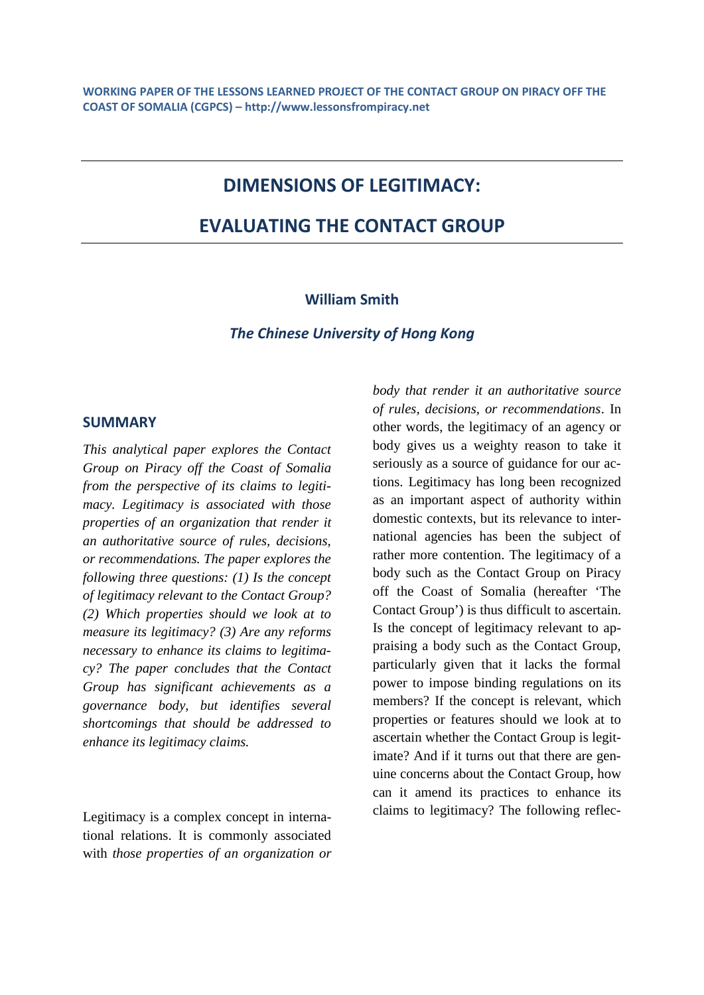# **DIMENSIONS OF LEGITIMACY:**

# **EVALUATING THE CONTACT GROUP**

#### **William Smith**

*The Chinese University of Hong Kong*

### **SUMMARY**

*This analytical paper explores the Contact Group on Piracy off the Coast of Somalia from the perspective of its claims to legitimacy. Legitimacy is associated with those properties of an organization that render it an authoritative source of rules, decisions, or recommendations. The paper explores the following three questions: (1) Is the concept of legitimacy relevant to the Contact Group? (2) Which properties should we look at to measure its legitimacy? (3) Are any reforms necessary to enhance its claims to legitimacy? The paper concludes that the Contact Group has significant achievements as a governance body, but identifies several shortcomings that should be addressed to enhance its legitimacy claims.*

Legitimacy is a complex concept in international relations. It is commonly associated with *those properties of an organization or* *body that render it an authoritative source of rules, decisions, or recommendations*. In other words, the legitimacy of an agency or body gives us a weighty reason to take it seriously as a source of guidance for our actions. Legitimacy has long been recognized as an important aspect of authority within domestic contexts, but its relevance to international agencies has been the subject of rather more contention. The legitimacy of a body such as the Contact Group on Piracy off the Coast of Somalia (hereafter 'The Contact Group') is thus difficult to ascertain. Is the concept of legitimacy relevant to appraising a body such as the Contact Group, particularly given that it lacks the formal power to impose binding regulations on its members? If the concept is relevant, which properties or features should we look at to ascertain whether the Contact Group is legitimate? And if it turns out that there are genuine concerns about the Contact Group, how can it amend its practices to enhance its claims to legitimacy? The following reflec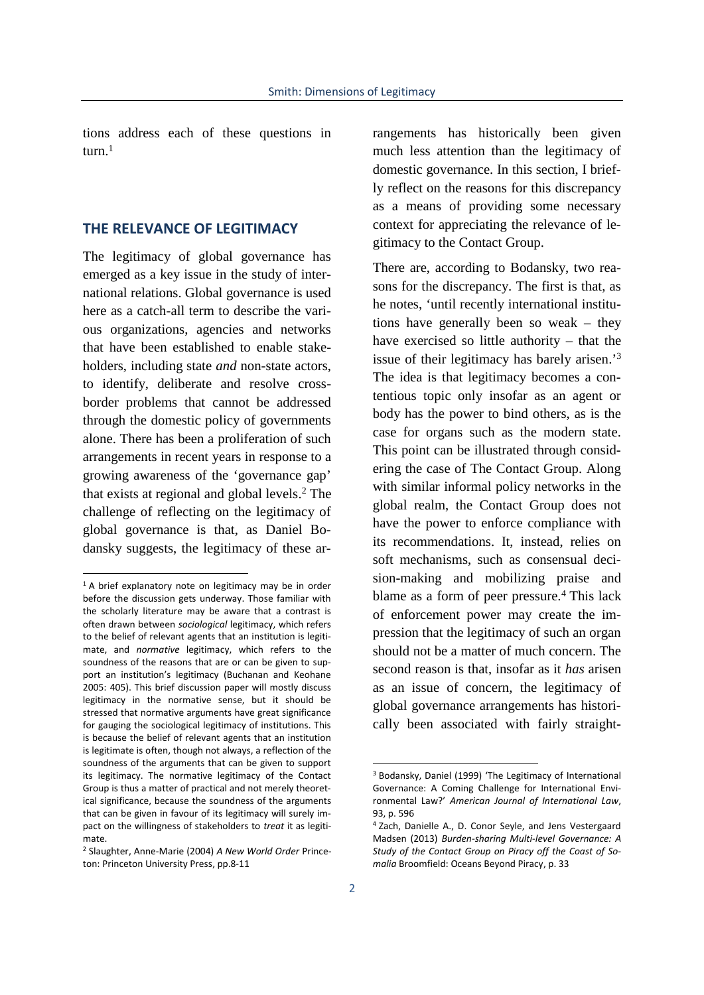tions address each of these questions in turn $<sup>1</sup>$ </sup>

#### **THE RELEVANCE OF LEGITIMACY**

The legitimacy of global governance has emerged as a key issue in the study of international relations. Global governance is used here as a catch-all term to describe the various organizations, agencies and networks that have been established to enable stakeholders, including state *and* non-state actors, to identify, deliberate and resolve cross border problems that cannot be addressed through the domestic policy of governments alone. There has been a proliferation of such arrangements in recent years in response to a growing awareness of the 'governance gap' that exists at regional and global levels.<sup>2</sup> The challenge of reflecting on the legitimacy of global governance is that, as Daniel Bodansky suggests, the legitimacy of these arrangements has historically been given much less attention than the legitimacy of domestic governance. In this section, I briefly reflect on the reasons for this discrepancy as a means of providing some necessary context for appreciating the relevance of legitimacy to the Contact Group.

There are, according to Bodansky, two reasons for the discrepancy. The first is that, as he notes, 'until recently international institutions have generally been so weak – they have exercised so little authority – that the issue of their legitimacy has barely arisen.'<sup>3</sup> The idea is that legitimacy becomes a contentious topic only insofar as an agent or body has the power to bind others, as is the case for organs such as the modern state. This point can be illustrated through considering the case of The Contact Group. Along with similar informal policy networks in the global realm, the Contact Group does not have the power to enforce compliance with its recommendations. It, instead, relies on soft mechanisms, such as consensual decision-making and mobilizing praise and blame as a form of peer pressure.<sup>4</sup> This lack of enforcement power may create the impression that the legitimacy of such an organ should not be a matter of much concern. The second reason is that, insofar as it *has* arisen as an issue of concern, the legitimacy of global governance arrangements has historically been associated with fairly straight-

 $1$  A brief explanatory note on legitimacy may be in order before the discussion gets underway. Those familiar with the scholarly literature may be aware that a contrast is often drawn between *sociological* legitimacy, which refers to the belief of relevant agents that an institution is legitimate, and *normative* legitimacy, which refers to the soundness of the reasons that are or can be given to support an institution's legitimacy (Buchanan and Keohane 2005: 405). This brief discussion paper will mostly discuss legitimacy in the normative sense, but it should be stressed that normative arguments have great significance for gauging the sociological legitimacy of institutions. This is because the belief of relevant agents that an institution is legitimate is often, though not always, a reflection of the soundness of the arguments that can be given to support its legitimacy. The normative legitimacy of the Contact Group is thus a matter of practical and not merely theoretical significance, because the soundness of the arguments that can be given in favour of its legitimacy will surely impact on the willingness of stakeholders to *treat* it as legitimate.

<sup>2</sup> Slaughter, Anne-Marie (2004) *A New World Order* Princeton: Princeton University Press, pp.8-11

<sup>3</sup> Bodansky, Daniel (1999) 'The Legitimacy of International Governance: A Coming Challenge for International Environmental Law?' *American Journal of International Law*, 93, p. 596

<sup>4</sup> Zach, Danielle A., D. Conor Seyle, and Jens Vestergaard Madsen (2013) *Burden-sharing Multi-level Governance: A Study of the Contact Group on Piracy off the Coast of Somalia* Broomfield: Oceans Beyond Piracy, p. 33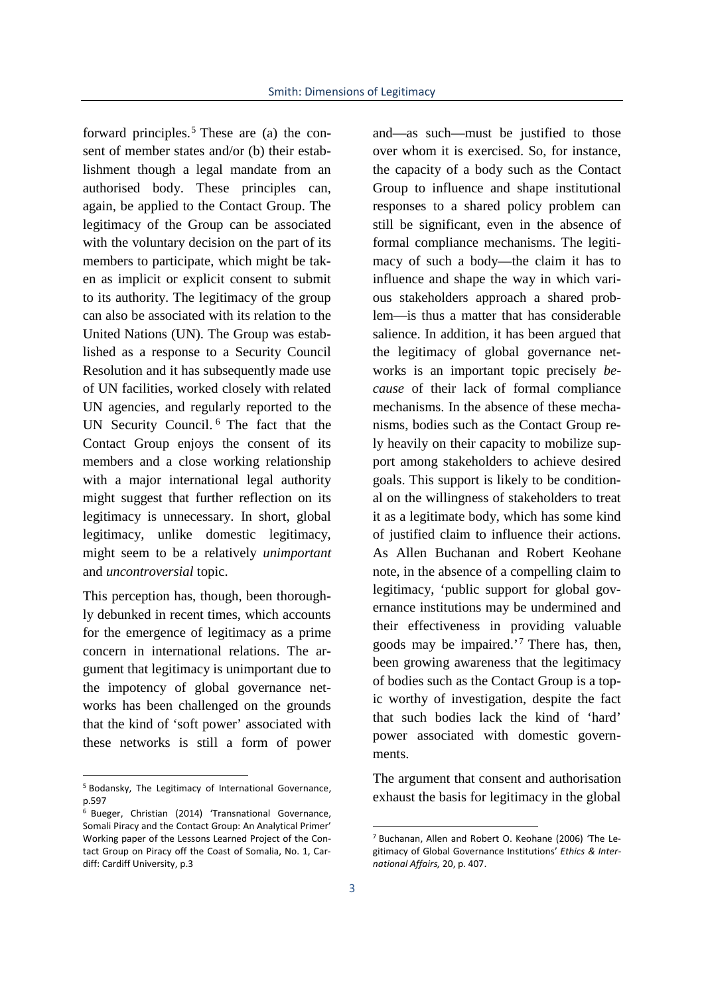forward principles.<sup>5</sup> These are (a) the consent of member states and/or (b) their establishment though a legal mandate from an authorised body. These principles can, again, be applied to the Contact Group. The legitimacy of the Group can be associated with the voluntary decision on the part of its members to participate, which might be taken as implicit or explicit consent to submit to its authority. The legitimacy of the group can also be associated with its relation to the United Nations (UN). The Group was established as a response to a Security Council Resolution and it has subsequently made use of UN facilities, worked closely with related UN agencies, and regularly reported to the UN Security Council. <sup>6</sup> The fact that the Contact Group enjoys the consent of its members and a close working relationship with a major international legal authority might suggest that further reflection on its legitimacy is unnecessary. In short, global legitimacy, unlike domestic legitimacy, might seem to be a relatively *unimportant* and *uncontroversial* topic.

This perception has, though, been thoroughly debunked in recent times, which accounts for the emergence of legitimacy as a prime concern in international relations. The argument that legitimacy is unimportant due to the impotency of global governance networks has been challenged on the grounds that the kind of 'soft power' associated with these networks is still a form of power

and—as such—must be justified to those over whom it is exercised. So, for instance, the capacity of a body such as the Contact Group to influence and shape institutional responses to a shared policy problem can still be significant, even in the absence of formal compliance mechanisms. The legitimacy of such a body—the claim it has to influence and shape the way in which various stakeholders approach a shared problem—is thus a matter that has considerable salience. In addition, it has been argued that the legitimacy of global governance networks is an important topic precisely *because* of their lack of formal compliance mechanisms. In the absence of these mechanisms, bodies such as the Contact Group rely heavily on their capacity to mobilize support among stakeholders to achieve desired goals. This support is likely to be conditional on the willingness of stakeholders to treat it as a legitimate body, which has some kind of justified claim to influence their actions. As Allen Buchanan and Robert Keohane note, in the absence of a compelling claim to legitimacy, 'public support for global governance institutions may be undermined and their effectiveness in providing valuable goods may be impaired.<sup>'7</sup> There has, then, been growing awareness that the legitimacy of bodies such as the Contact Group is a topic worthy of investigation, despite the fact that such bodies lack the kind of 'hard' power associated with domestic governments.

The argument that consent and authorisation exhaust the basis for legitimacy in the global

<sup>5</sup> Bodansky, The Legitimacy of International Governance, p.597

<sup>6</sup> Bueger, Christian (2014) 'Transnational Governance, Somali Piracy and the Contact Group: An Analytical Primer' Working paper of the Lessons Learned Project of the Contact Group on Piracy off the Coast of Somalia, No. 1, Cardiff: Cardiff University, p.3

<sup>7</sup> Buchanan, Allen and Robert O. Keohane (2006) 'The Legitimacy of Global Governance Institutions' *Ethics & International Affairs,* 20, p. 407.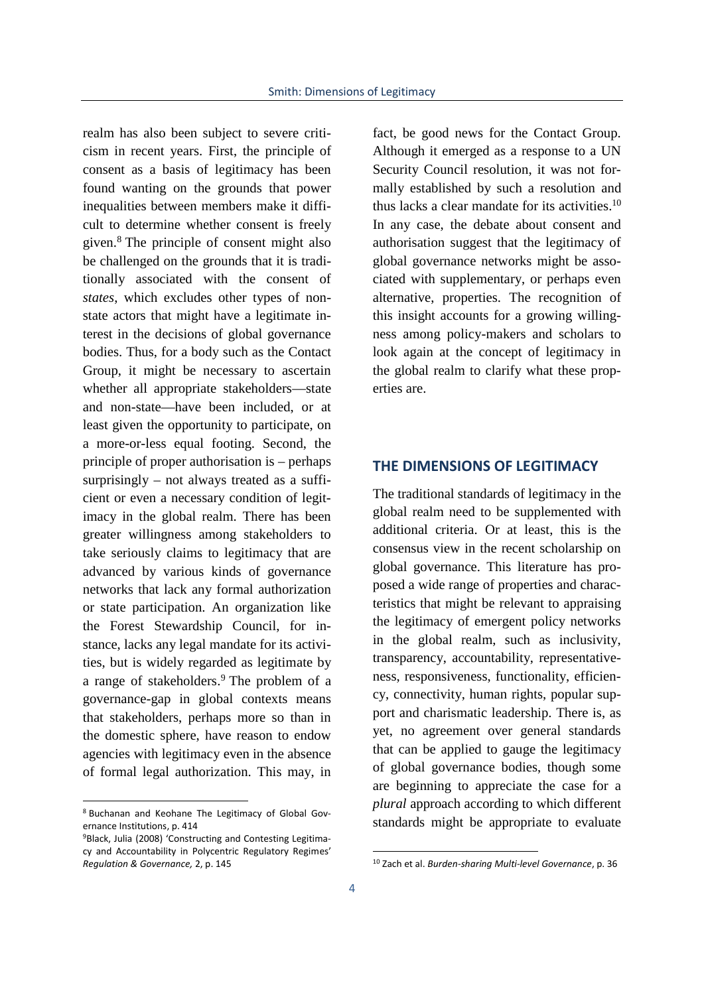realm has also been subject to severe criticism in recent years. First, the principle of consent as a basis of legitimacy has been found wanting on the grounds that power inequalities between members make it difficult to determine whether consent is freely given.<sup>8</sup> The principle of consent might also be challenged on the grounds that it is traditionally associated with the consent of *states*, which excludes other types of non state actors that might have a legitimate interest in the decisions of global governance bodies. Thus, for a body such as the Contact Group, it might be necessary to ascertain whether all appropriate stakeholders—state and non-state—have been included, or at least given the opportunity to participate, on a more-or-less equal footing. Second, the principle of proper authorisation is – perhaps surprisingly – not always treated as a sufficient or even a necessary condition of legitimacy in the global realm. There has been greater willingness among stakeholders to take seriously claims to legitimacy that are advanced by various kinds of governance networks that lack any formal authorization or state participation. An organization like the Forest Stewardship Council, for instance, lacks any legal mandate for its activities, but is widely regarded as legitimate by a range of stakeholders.<sup>9</sup> The problem of a governance-gap in global contexts means that stakeholders, perhaps more so than in the domestic sphere, have reason to endow agencies with legitimacy even in the absence of formal legal authorization. This may, in

fact, be good news for the Contact Group. Although it emerged as a response to a UN Security Council resolution, it was not formally established by such a resolution and thus lacks a clear mandate for its activities. $10$ In any case, the debate about consent and authorisation suggest that the legitimacy of global governance networks might be associated with supplementary, or perhaps even alternative, properties. The recognition of this insight accounts for a growing willingness among policy-makers and scholars to look again at the concept of legitimacy in the global realm to clarify what these properties are.

### **THE DIMENSIONS OF LEGITIMACY**

The traditional standards of legitimacy in the global realm need to be supplemented with additional criteria. Or at least, this is the consensus view in the recent scholarship on global governance. This literature has proposed a wide range of properties and characteristics that might be relevant to appraising the legitimacy of emergent policy networks in the global realm, such as inclusivity, transparency, accountability, representativeness, responsiveness, functionality, efficiency, connectivity, human rights, popular support and charismatic leadership. There is, as yet, no agreement over general standards that can be applied to gauge the legitimacy of global governance bodies, though some are beginning to appreciate the case for a *plural* approach according to which different standards might be appropriate to evaluate

<sup>8</sup> Buchanan and Keohane The Legitimacy of Global Governance Institutions, p. 414

<sup>9</sup>Black, Julia (2008) 'Constructing and Contesting Legitimacy and Accountability in Polycentric Regulatory Regimes' *Regulation & Governance,* 2, p. 145

<sup>10</sup> Zach et al. *Burden-sharing Multi-level Governance*, p. 36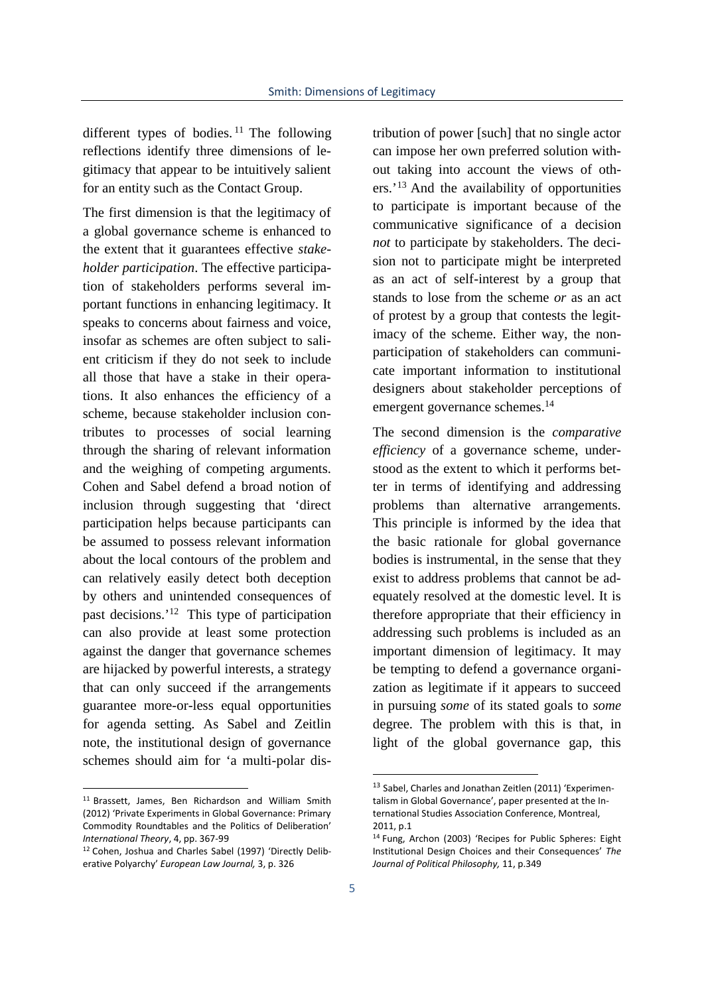different types of bodies.<sup>11</sup> The following reflections identify three dimensions of legitimacy that appear to be intuitively salient for an entity such as the Contact Group.

The first dimension is that the legitimacy of a global governance scheme is enhanced to the extent that it guarantees effective *stakeholder participation*. The effective participation of stakeholders performs several important functions in enhancing legitimacy. It speaks to concerns about fairness and voice, insofar as schemes are often subject to salient criticism if they do not seek to include all those that have a stake in their operations. It also enhances the efficiency of a scheme, because stakeholder inclusion contributes to processes of social learning through the sharing of relevant information and the weighing of competing arguments. Cohen and Sabel defend a broad notion of inclusion through suggesting that 'direct participation helps because participants can be assumed to possess relevant information about the local contours of the problem and can relatively easily detect both deception by others and unintended consequences of past decisions.'<sup>12</sup> This type of participation can also provide at least some protection against the danger that governance schemes are hijacked by powerful interests, a strategy that can only succeed if the arrangements guarantee more-or-less equal opportunities for agenda setting. As Sabel and Zeitlin note, the institutional design of governance schemes should aim for 'a multi-polar dis-

tribution of power [such] that no single actor can impose her own preferred solution without taking into account the views of others.'<sup>13</sup> And the availability of opportunities to participate is important because of the communicative significance of a decision *not* to participate by stakeholders. The decision not to participate might be interpreted as an act of self-interest by a group that stands to lose from the scheme *or* as an act of protest by a group that contests the legitimacy of the scheme. Either way, the non participation of stakeholders can communicate important information to institutional designers about stakeholder perceptions of emergent governance schemes.<sup>14</sup>

The second dimension is the *comparative efficiency* of a governance scheme, understood as the extent to which it performs better in terms of identifying and addressing problems than alternative arrangements. This principle is informed by the idea that the basic rationale for global governance bodies is instrumental, in the sense that they exist to address problems that cannot be adequately resolved at the domestic level. It is therefore appropriate that their efficiency in addressing such problems is included as an important dimension of legitimacy. It may be tempting to defend a governance organization as legitimate if it appears to succeed in pursuing *some* of its stated goals to *some* degree. The problem with this is that, in light of the global governance gap, this

<sup>11</sup> Brassett, James, Ben Richardson and William Smith (2012) 'Private Experiments in Global Governance: Primary Commodity Roundtables and the Politics of Deliberation' *International Theory*, 4, pp. 367-99

<sup>12</sup> Cohen, Joshua and Charles Sabel (1997) 'Directly Deliberative Polyarchy' *European Law Journal,* 3, p. 326

<sup>13</sup> Sabel, Charles and Jonathan Zeitlen (2011) 'Experimentalism in Global Governance', paper presented at the International Studies Association Conference, Montreal, 2011, p.1

<sup>14</sup> Fung, Archon (2003) 'Recipes for Public Spheres: Eight Institutional Design Choices and their Consequences' *The Journal of Political Philosophy,* 11, p.349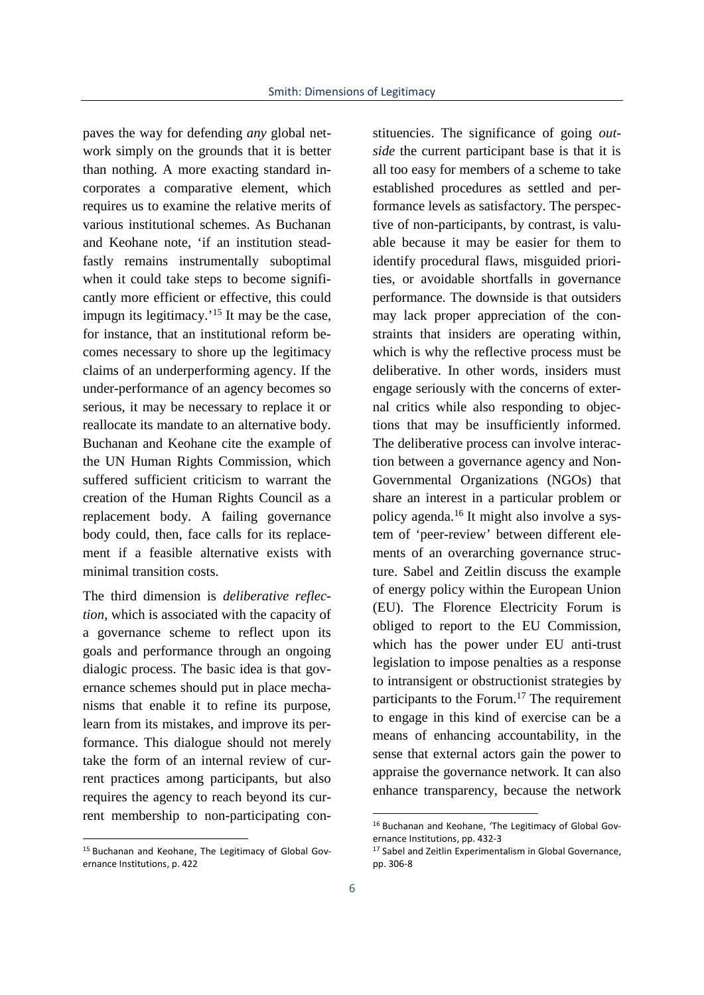paves the way for defending *any* global network simply on the grounds that it is better than nothing. A more exacting standard incorporates a comparative element, which requires us to examine the relative merits of various institutional schemes. As Buchanan and Keohane note, 'if an institution steadfastly remains instrumentally suboptimal when it could take steps to become significantly more efficient or effective, this could impugn its legitimacy.'<sup>15</sup> It may be the case, for instance, that an institutional reform becomes necessary to shore up the legitimacy claims of an underperforming agency. If the under-performance of an agency becomes so serious, it may be necessary to replace it or reallocate its mandate to an alternative body. Buchanan and Keohane cite the example of the UN Human Rights Commission, which suffered sufficient criticism to warrant the creation of the Human Rights Council as a replacement body. A failing governance body could, then, face calls for its replacement if a feasible alternative exists with minimal transition costs.

The third dimension is *deliberative reflection*, which is associated with the capacity of a governance scheme to reflect upon its goals and performance through an ongoing dialogic process. The basic idea is that governance schemes should put in place mechanisms that enable it to refine its purpose, learn from its mistakes, and improve its performance. This dialogue should not merely take the form of an internal review of current practices among participants, but also requires the agency to reach beyond its current membership to non-participating con-

stituencies. The significance of going *outside* the current participant base is that it is all too easy for members of a scheme to take established procedures as settled and performance levels as satisfactory. The perspective of non-participants, by contrast, is valuable because it may be easier for them to identify procedural flaws, misguided priorities, or avoidable shortfalls in governance performance. The downside is that outsiders may lack proper appreciation of the constraints that insiders are operating within, which is why the reflective process must be deliberative. In other words, insiders must engage seriously with the concerns of external critics while also responding to objections that may be insufficiently informed. The deliberative process can involve interaction between a governance agency and Non- Governmental Organizations (NGOs) that share an interest in a particular problem or policy agenda.<sup>16</sup> It might also involve a system of 'peer-review' between different elements of an overarching governance structure. Sabel and Zeitlin discuss the example of energy policy within the European Union (EU). The Florence Electricity Forum is obliged to report to the EU Commission, which has the power under EU anti-trust legislation to impose penalties as a response to intransigent or obstructionist strategies by participants to the Forum.<sup>17</sup> The requirement to engage in this kind of exercise can be a means of enhancing accountability, in the sense that external actors gain the power to appraise the governance network. It can also enhance transparency, because the network

<sup>15</sup> Buchanan and Keohane, The Legitimacy of Global Governance Institutions, p. 422

<sup>16</sup> Buchanan and Keohane, 'The Legitimacy of Global Governance Institutions, pp. 432-3

<sup>&</sup>lt;sup>17</sup> Sabel and Zeitlin Experimentalism in Global Governance, pp. 306-8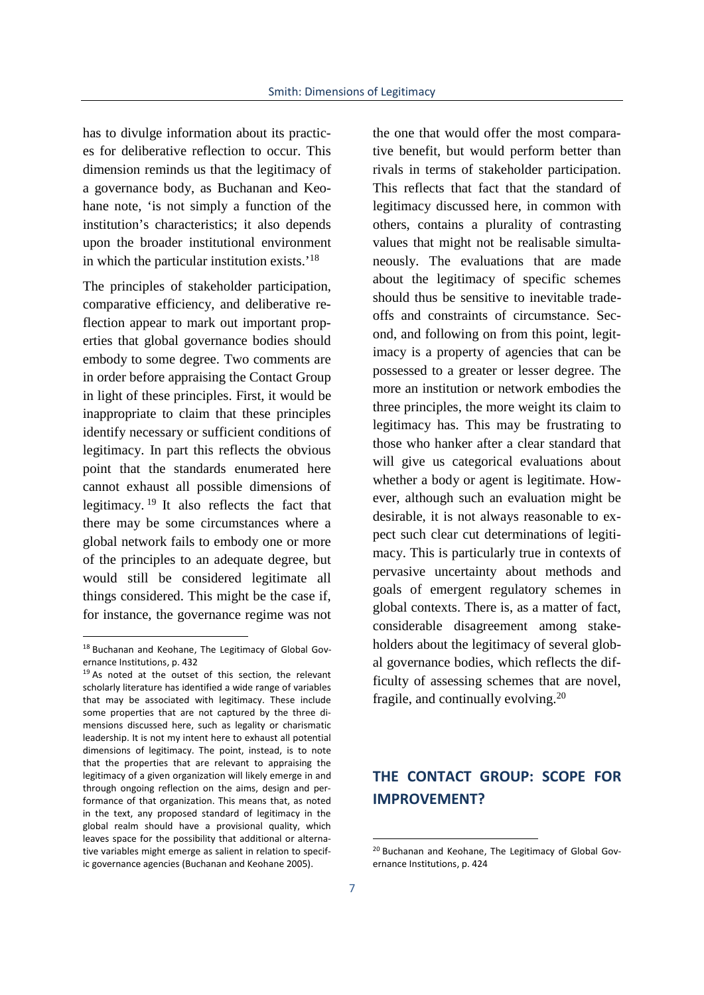has to divulge information about its practices for deliberative reflection to occur. This dimension reminds us that the legitimacy of a governance body, as Buchanan and Keohane note, 'is not simply a function of the institution's characteristics; it also depends upon the broader institutional environment in which the particular institution exists.'<sup>18</sup>

The principles of stakeholder participation, comparative efficiency, and deliberative reflection appear to mark out important properties that global governance bodies should embody to some degree. Two comments are in order before appraising the Contact Group in light of these principles. First, it would be inappropriate to claim that these principles identify necessary or sufficient conditions of legitimacy. In part this reflects the obvious point that the standards enumerated here cannot exhaust all possible dimensions of legitimacy. <sup>19</sup> It also reflects the fact that there may be some circumstances where a global network fails to embody one or more of the principles to an adequate degree, but would still be considered legitimate all things considered. This might be the case if, for instance, the governance regime was not

the one that would offer the most comparative benefit, but would perform better than rivals in terms of stakeholder participation. This reflects that fact that the standard of legitimacy discussed here, in common with others, contains a plurality of contrasting values that might not be realisable simultaneously. The evaluations that are made about the legitimacy of specific schemes should thus be sensitive to inevitable trade offs and constraints of circumstance. Second, and following on from this point, legitimacy is a property of agencies that can be possessed to a greater or lesser degree. The more an institution or network embodies the three principles, the more weight its claim to legitimacy has. This may be frustrating to those who hanker after a clear standard that will give us categorical evaluations about whether a body or agent is legitimate. However, although such an evaluation might be desirable, it is not always reasonable to expect such clear cut determinations of legitimacy. This is particularly true in contexts of pervasive uncertainty about methods and goals of emergent regulatory schemes in global contexts. There is, as a matter of fact, considerable disagreement among stakeholders about the legitimacy of several global governance bodies, which reflects the difficulty of assessing schemes that are novel, fragile, and continually evolving.<sup>20</sup>

# **THE CONTACT GROUP: SCOPE FOR IMPROVEMENT?**

<sup>18</sup> Buchanan and Keohane, The Legitimacy of Global Gov ernance Institutions, p. 432

<sup>&</sup>lt;sup>19</sup> As noted at the outset of this section, the relevant scholarly literature has identified a wide range of variables that may be associated with legitimacy. These include some properties that are not captured by the three di mensions discussed here, such as legality or charismatic leadership. It is not my intent here to exhaust all potential dimensions of legitimacy. The point, instead, is to note that the properties that are relevant to appraising the legitimacy of a given organization will likely emerge in and through ongoing reflection on the aims, design and performance of that organization. This means that, as noted in the text, any proposed standard of legitimacy in the global realm should have a provisional quality, which leaves space for the possibility that additional or alternative variables might emerge as salient in relation to specific governance agencies (Buchanan and Keohane 2005).

<sup>20</sup> Buchanan and Keohane, The Legitimacy of Global Governance Institutions, p. 424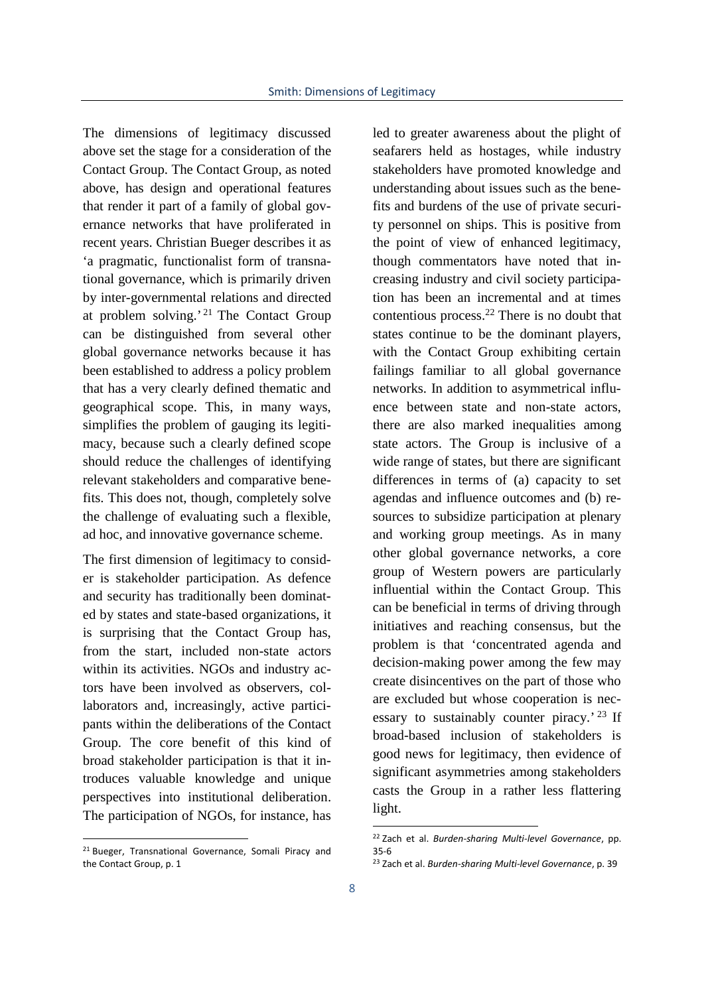The dimensions of legitimacy discussed above set the stage for a consideration of the Contact Group. The Contact Group, as noted above, has design and operational features that render it part of a family of global governance networks that have proliferated in recent years. Christian Bueger describes it as 'a pragmatic, functionalist form of transnational governance, which is primarily driven by inter-governmental relations and directed at problem solving.' <sup>21</sup> The Contact Group can be distinguished from several other global governance networks because it has been established to address a policy problem that has a very clearly defined thematic and geographical scope. This, in many ways, simplifies the problem of gauging its legitimacy, because such a clearly defined scope should reduce the challenges of identifying relevant stakeholders and comparative benefits. This does not, though, completely solve the challenge of evaluating such a flexible, ad hoc, and innovative governance scheme.

The first dimension of legitimacy to consider is stakeholder participation. As defence and security has traditionally been dominated by states and state-based organizations, it is surprising that the Contact Group has, from the start, included non-state actors within its activities. NGOs and industry actors have been involved as observers, collaborators and, increasingly, active participants within the deliberations of the Contact Group. The core benefit of this kind of broad stakeholder participation is that it introduces valuable knowledge and unique perspectives into institutional deliberation. The participation of NGOs, for instance, has

led to greater awareness about the plight of seafarers held as hostages, while industry stakeholders have promoted knowledge and understanding about issues such as the benefits and burdens of the use of private security personnel on ships. This is positive from the point of view of enhanced legitimacy, though commentators have noted that increasing industry and civil society participation has been an incremental and at times contentious process.<sup>22</sup> There is no doubt that states continue to be the dominant players, with the Contact Group exhibiting certain failings familiar to all global governance networks. In addition to asymmetrical influence between state and non-state actors, there are also marked inequalities among state actors. The Group is inclusive of a wide range of states, but there are significant differences in terms of (a) capacity to set agendas and influence outcomes and (b) resources to subsidize participation at plenary and working group meetings. As in many other global governance networks, a core group of Western powers are particularly influential within the Contact Group. This can be beneficial in terms of driving through initiatives and reaching consensus, but the problem is that 'concentrated agenda and decision-making power among the few may create disincentives on the part of those who are excluded but whose cooperation is necessary to sustainably counter piracy.<sup>' 23</sup> If broad-based inclusion of stakeholders is good news for legitimacy, then evidence of significant asymmetries among stakeholders casts the Group in a rather less flattering light.

<sup>&</sup>lt;sup>21</sup> Bueger, Transnational Governance, Somali Piracy and the Contact Group, p. 1

<sup>22</sup> Zach et al. *Burden-sharing Multi-level Governance*, pp. 35-6

<sup>23</sup> Zach et al. *Burden-sharing Multi-level Governance*, p. 39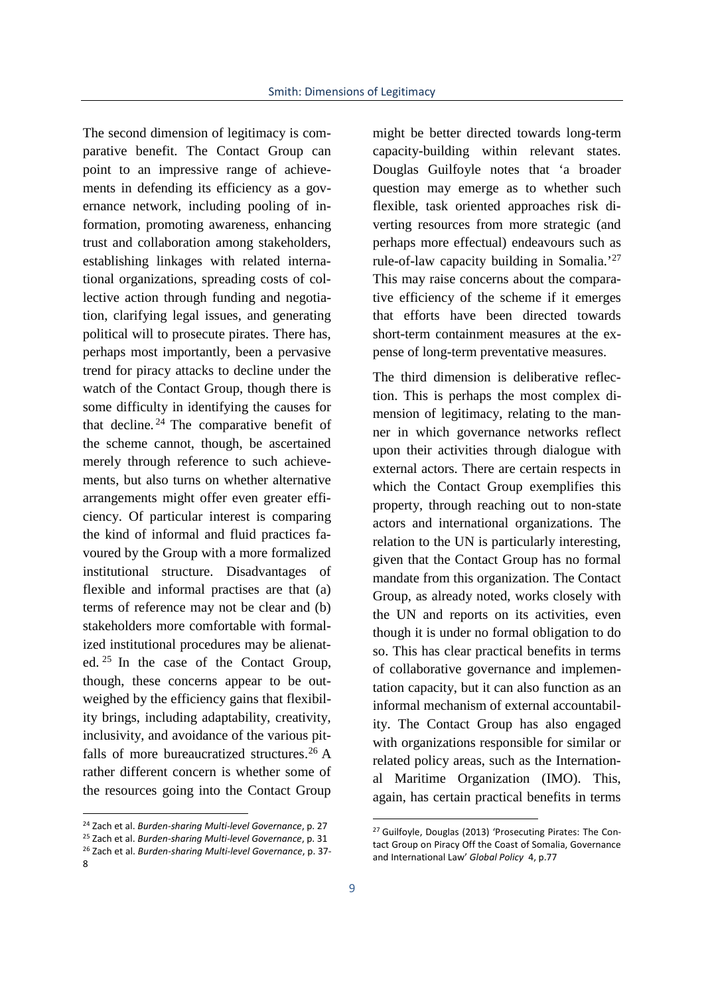The second dimension of legitimacy is comparative benefit. The Contact Group can point to an impressive range of achievements in defending its efficiency as a governance network, including pooling of information, promoting awareness, enhancing trust and collaboration among stakeholders, establishing linkages with related international organizations, spreading costs of collective action through funding and negotiation, clarifying legal issues, and generating political will to prosecute pirates. There has, perhaps most importantly, been a pervasive trend for piracy attacks to decline under the watch of the Contact Group, though there is some difficulty in identifying the causes for that decline. <sup>24</sup> The comparative benefit of the scheme cannot, though, be ascertained merely through reference to such achievements, but also turns on whether alternative arrangements might offer even greater efficiency. Of particular interest is comparing the kind of informal and fluid practices favoured by the Group with a more formalized institutional structure. Disadvantages of flexible and informal practises are that (a) terms of reference may not be clear and (b) stakeholders more comfortable with formalized institutional procedures may be alienated. <sup>25</sup> In the case of the Contact Group, though, these concerns appear to be outweighed by the efficiency gains that flexibility brings, including adaptability, creativity, inclusivity, and avoidance of the various pitfalls of more bureaucratized structures.<sup>26</sup> A rather different concern is whether some of the resources going into the Contact Group

might be better directed towards long-term capacity-building within relevant states. Douglas Guilfoyle notes that 'a broader question may emerge as to whether such flexible, task oriented approaches risk diverting resources from more strategic (and perhaps more effectual) endeavours such as rule-of-law capacity building in Somalia.'<sup>27</sup> This may raise concerns about the comparative efficiency of the scheme if it emerges that efforts have been directed towards short-term containment measures at the expense of long-term preventative measures.

The third dimension is deliberative reflection. This is perhaps the most complex dimension of legitimacy, relating to the manner in which governance networks reflect upon their activities through dialogue with external actors. There are certain respects in which the Contact Group exemplifies this property, through reaching out to non-state actors and international organizations. The relation to the UN is particularly interesting, given that the Contact Group has no formal mandate from this organization. The Contact Group, as already noted, works closely with the UN and reports on its activities, even though it is under no formal obligation to do so. This has clear practical benefits in terms of collaborative governance and implementation capacity, but it can also function as an informal mechanism of external accountability. The Contact Group has also engaged with organizations responsible for similar or related policy areas, such as the International Maritime Organization (IMO). This, again, has certain practical benefits in terms

<sup>24</sup> Zach et al. *Burden-sharing Multi-level Governance*, p. 27

<sup>25</sup> Zach et al. *Burden-sharing Multi-level Governance*, p. 31

<sup>26</sup> Zach et al. *Burden-sharing Multi-level Governance*, p. 37- 8

<sup>27</sup> Guilfoyle, Douglas (2013) 'Prosecuting Pirates: The Contact Group on Piracy Off the Coast of Somalia, Governance and International Law' *Global Policy* 4, p.77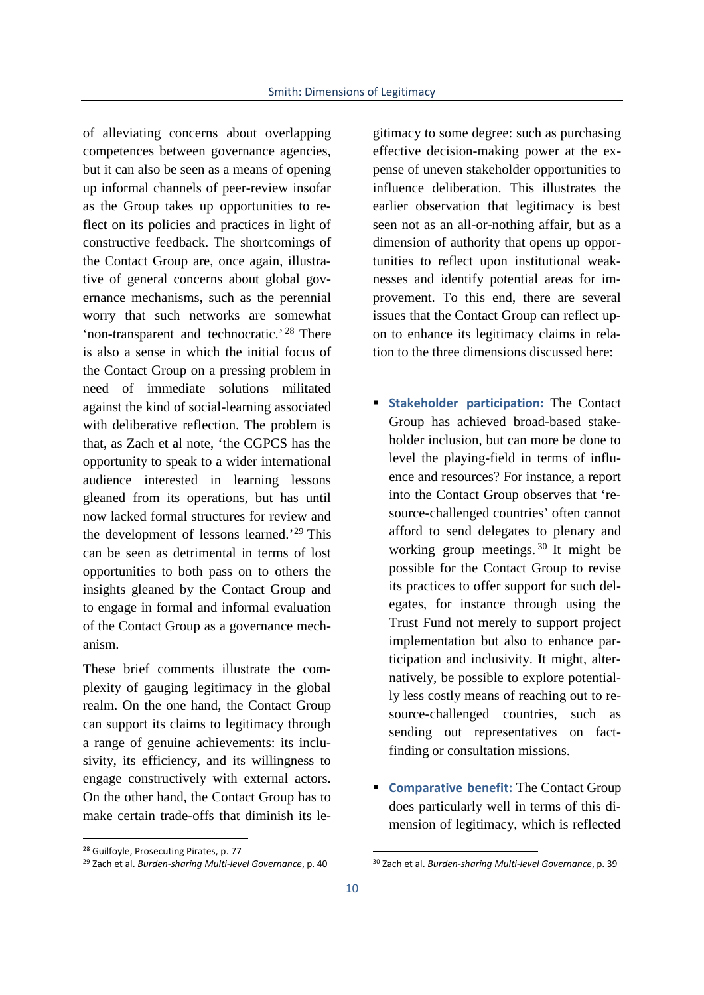of alleviating concerns about overlapping competences between governance agencies, but it can also be seen as a means of opening up informal channels of peer-review insofar as the Group takes up opportunities to reflect on its policies and practices in light of constructive feedback. The shortcomings of the Contact Group are, once again, illustrative of general concerns about global governance mechanisms, such as the perennial worry that such networks are somewhat 'non-transparent and technocratic.' <sup>28</sup> There is also a sense in which the initial focus of the Contact Group on a pressing problem in need of immediate solutions militated against the kind of social-learning associated with deliberative reflection. The problem is that, as Zach et al note, 'the CGPCS has the opportunity to speak to a wider international audience interested in learning lessons gleaned from its operations, but has until now lacked formal structures for review and the development of lessons learned.'<sup>29</sup> This can be seen as detrimental in terms of lost opportunities to both pass on to others the insights gleaned by the Contact Group and to engage in formal and informal evaluation of the Contact Group as a governance mechanism.

These brief comments illustrate the complexity of gauging legitimacy in the global realm. On the one hand, the Contact Group can support its claims to legitimacy through a range of genuine achievements: its inclusivity, its efficiency, and its willingness to engage constructively with external actors. On the other hand, the Contact Group has to make certain trade-offs that diminish its le-

gitimacy to some degree: such as purchasing effective decision-making power at the expense of uneven stakeholder opportunities to influence deliberation. This illustrates the earlier observation that legitimacy is best seen not as an all-or-nothing affair, but as a dimension of authority that opens up opportunities to reflect upon institutional weaknesses and identify potential areas for improvement. To this end, there are several issues that the Contact Group can reflect upon to enhance its legitimacy claims in relation to the three dimensions discussed here:

- **Stakeholder participation:** The Contact Group has achieved broad-based stakeholder inclusion, but can more be done to level the playing-field in terms of influence and resources? For instance, a report into the Contact Group observes that 'resource-challenged countries' often cannot afford to send delegates to plenary and working group meetings. <sup>30</sup> It might be possible for the Contact Group to revise its practices to offer support for such delegates, for instance through using the Trust Fund not merely to support project implementation but also to enhance participation and inclusivity. It might, alternatively, be possible to explore potentially less costly means of reaching out to resource-challenged countries, such as sending out representatives on factfinding or consultation missions.
- **Comparative benefit:** The Contact Group does particularly well in terms of this dimension of legitimacy, which is reflected

<sup>28</sup> Guilfoyle, Prosecuting Pirates, p. 77

<sup>29</sup> Zach et al. *Burden-sharing Multi-level Governance*, p. 40

<sup>30</sup> Zach et al. *Burden-sharing Multi-level Governance*, p. 39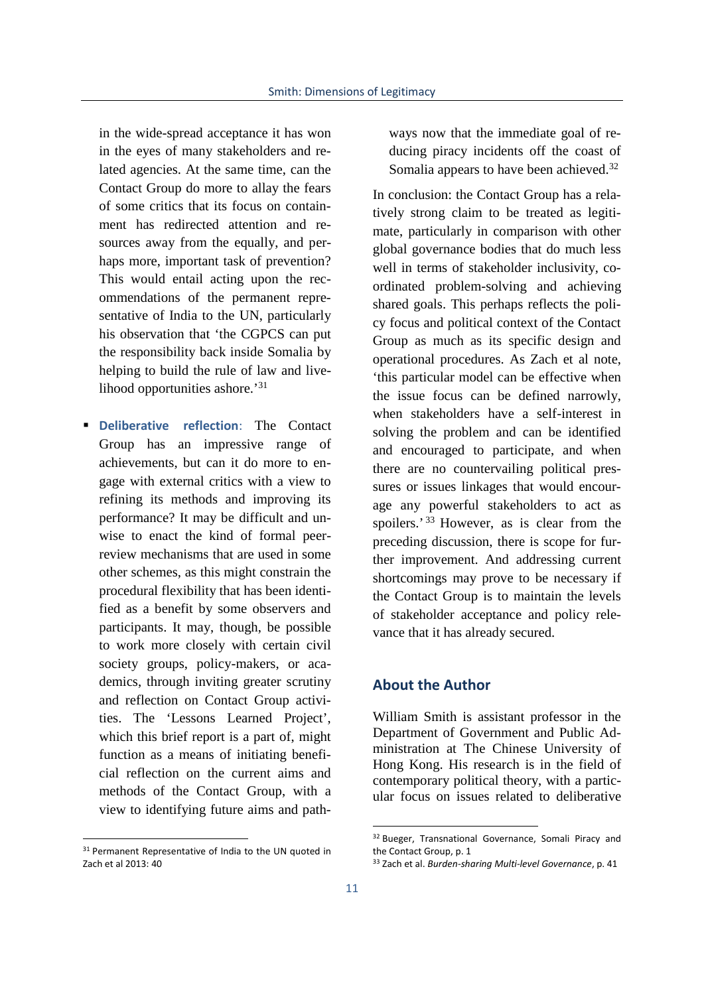in the wide-spread acceptance it has won in the eyes of many stakeholders and related agencies. At the same time, can the Contact Group do more to allay the fears of some critics that its focus on containment has redirected attention and resources away from the equally, and perhaps more, important task of prevention? This would entail acting upon the recommendations of the permanent representative of India to the UN, particularly his observation that 'the CGPCS can put the responsibility back inside Somalia by helping to build the rule of law and livelihood opportunities ashore.'<sup>31</sup>

 **Deliberative reflection**: The Contact Group has an impressive range of achievements, but can it do more to engage with external critics with a view to refining its methods and improving its performance? It may be difficult and unwise to enact the kind of formal peerreview mechanisms that are used in some other schemes, as this might constrain the procedural flexibility that has been identified as a benefit by some observers and participants. It may, though, be possible to work more closely with certain civil society groups, policy-makers, or academics, through inviting greater scrutiny and reflection on Contact Group activities. The 'Lessons Learned Project', which this brief report is a part of, might function as a means of initiating beneficial reflection on the current aims and methods of the Contact Group, with a view to identifying future aims and pathways now that the immediate goal of reducing piracy incidents off the coast of Somalia appears to have been achieved.<sup>32</sup>

In conclusion: the Contact Group has a relatively strong claim to be treated as legitimate, particularly in comparison with other global governance bodies that do much less well in terms of stakeholder inclusivity, coordinated problem-solving and achieving shared goals. This perhaps reflects the policy focus and political context of the Contact Group as much as its specific design and operational procedures. As Zach et al note, 'this particular model can be effective when the issue focus can be defined narrowly, when stakeholders have a self-interest in solving the problem and can be identified and encouraged to participate, and when there are no countervailing political pressures or issues linkages that would encourage any powerful stakeholders to act as spoilers.' 33 However, as is clear from the preceding discussion, there is scope for further improvement. And addressing current shortcomings may prove to be necessary if the Contact Group is to maintain the levels of stakeholder acceptance and policy relevance that it has already secured.

## **About the Author**

William Smith is assistant professor in the Department of Government and Public Administration at The Chinese University of Hong Kong. His research is in the field of contemporary political theory, with a particular focus on issues related to deliberative

<sup>&</sup>lt;sup>31</sup> Permanent Representative of India to the UN quoted in Zach et al 2013: 40

<sup>&</sup>lt;sup>32</sup> Bueger, Transnational Governance, Somali Piracy and the Contact Group, p. 1

<sup>33</sup> Zach et al. *Burden-sharing Multi-level Governance*, p. 41